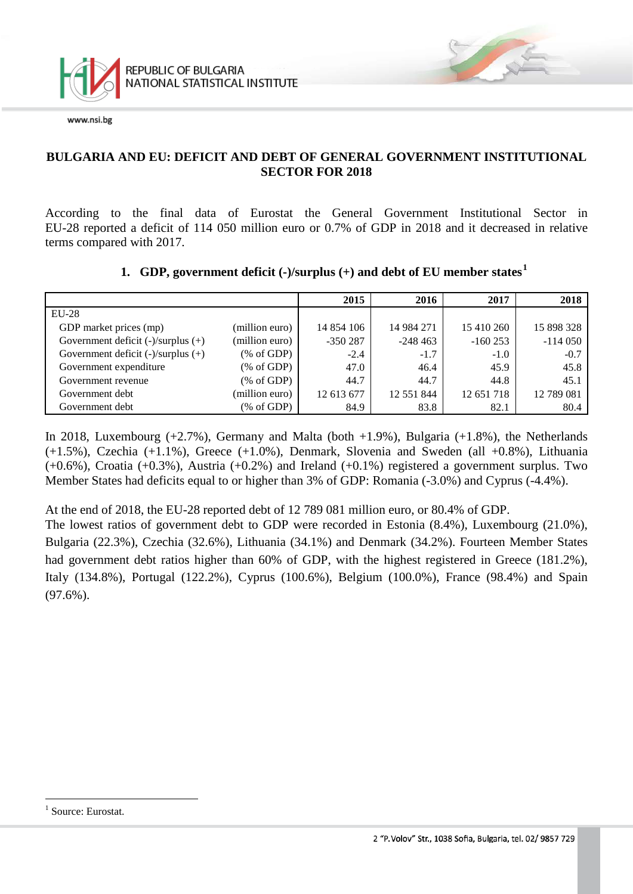

### **BULGARIA AND EU: DEFICIT AND DEBT OF GENERAL GOVERNMENT INSTITUTIONAL SECTOR FOR 2018**

According to the final data of Eurostat the General Government Institutional Sector in EU-28 reported a deficit of 114 050 million euro or 0.7% of GDP in 2018 and it decreased in relative terms compared with 2017.

### **1. GDP, government deficit (-)/surplus (+) and debt of EU member states[1](#page-0-0)**

|                                         |                | 2015       | 2016       | 2017       | 2018       |
|-----------------------------------------|----------------|------------|------------|------------|------------|
| $EU-28$                                 |                |            |            |            |            |
| GDP market prices (mp)                  | (million euro) | 14 854 106 | 14 984 271 | 15 410 260 | 15 898 328 |
| Government deficit $(-)/$ surplus $(+)$ | (million euro) | $-350287$  | $-248463$  | $-160253$  | $-114050$  |
| Government deficit $(-)/$ surplus $(+)$ | % of GDP       | $-2.4$     | $-1.7$     | $-1.0$     | $-0.7$     |
| Government expenditure                  | % of GDP       | 47.0       | 46.4       | 45.9       | 45.8       |
| Government revenue                      | % of GDP       | 44.7       | 44.7       | 44.8       | 45.1       |
| Government debt                         | (million euro) | 12 613 677 | 12 551 844 | 12 651 718 | 12 789 081 |
| Government debt                         | % of GDP       | 84.9       | 83.8       | 82.1       | 80.4       |

In 2018, Luxembourg  $(+2.7\%)$ , Germany and Malta (both  $+1.9\%$ ), Bulgaria  $(+1.8\%)$ , the Netherlands  $(+1.5\%)$ , Czechia  $(+1.1\%)$ , Greece  $(+1.0\%)$ , Denmark, Slovenia and Sweden (all  $+0.8\%$ ), Lithuania  $(+0.6\%)$ , Croatia  $(+0.3\%)$ , Austria  $(+0.2\%)$  and Ireland  $(+0.1\%)$  registered a government surplus. Two Member States had deficits equal to or higher than 3% of GDP: Romania (-3.0%) and Cyprus (-4.4%).

At the end of 2018, the EU-28 reported debt of 12 789 081 million euro, or 80.4% of GDP.

The lowest ratios of government debt to GDP were recorded in Estonia (8.4%), Luxembourg (21.0%), Bulgaria (22.3%), Czechia (32.6%), Lithuania (34.1%) and Denmark (34.2%). Fourteen Member States had government debt ratios higher than 60% of GDP, with the highest registered in Greece (181.2%), Italy (134.8%), Portugal (122.2%), Cyprus (100.6%), Belgium (100.0%), France (98.4%) and Spain  $(97.6\%)$ .

<span id="page-0-0"></span><sup>&</sup>lt;sup>1</sup> Source: Eurostat.  $\frac{1}{1}$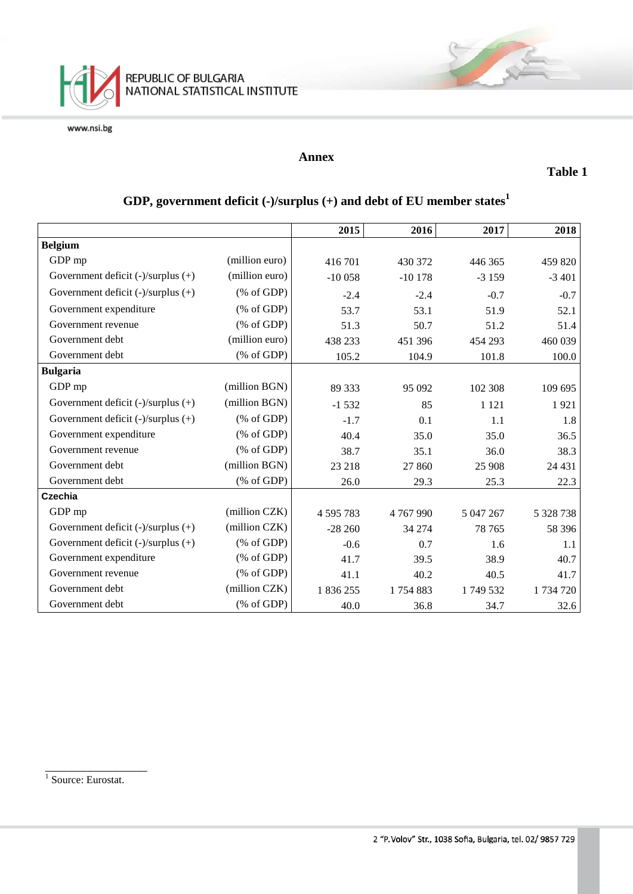

#### **Annex**

**Table 1**

|                                         |                                                       | 2015          | 2016     | 2017      | 2018      |
|-----------------------------------------|-------------------------------------------------------|---------------|----------|-----------|-----------|
| <b>Belgium</b>                          |                                                       |               |          |           |           |
| GDP mp                                  | (million euro)                                        | 416701        | 430 372  | 446 365   | 459 820   |
| Government deficit $(-)/$ surplus $(+)$ | (million euro)                                        | $-10058$      | $-10178$ | $-3159$   | $-3401$   |
| Government deficit $(-)/$ surplus $(+)$ | % of GDP                                              | $-2.4$        | $-2.4$   | $-0.7$    | $-0.7$    |
| Government expenditure                  | $(% \mathcal{L}_{0} \cap \mathcal{L}_{1})$ (% of GDP) | 53.7          | 53.1     | 51.9      | 52.1      |
| Government revenue                      | $(% \mathcal{L}_{0} \cap \mathcal{L}_{1})$ (% of GDP) | 51.3          | 50.7     | 51.2      | 51.4      |
| Government debt                         | (million euro)                                        | 438 233       | 451 396  | 454 293   | 460 039   |
| Government debt                         | (% of GDP)                                            | 105.2         | 104.9    | 101.8     | 100.0     |
| <b>Bulgaria</b>                         |                                                       |               |          |           |           |
| GDP mp                                  | (million BGN)                                         | 89 333        | 95 092   | 102 308   | 109 695   |
| Government deficit $(-)/$ surplus $(+)$ | (million BGN)                                         | $-1532$       | 85       | 1 1 2 1   | 1921      |
| Government deficit $(-)/$ surplus $(+)$ | % of GDP                                              | $-1.7$        | 0.1      | 1.1       | 1.8       |
| Government expenditure                  | $(% \mathcal{L}_{0} \cap \mathcal{L}_{1})$ (% of GDP) | 40.4          | 35.0     | 35.0      | 36.5      |
| Government revenue                      | $(% \mathcal{L}_{0} \cap \mathcal{L}_{1})$ (% of GDP) | 38.7          | 35.1     | 36.0      | 38.3      |
| Government debt                         | (million BGN)                                         | 23 218        | 27 860   | 25 908    | 24 4 31   |
| Government debt                         | $(% \mathcal{L}_{0} \cap \mathcal{L}_{1})$ (% of GDP) | 26.0          | 29.3     | 25.3      | 22.3      |
| <b>Czechia</b>                          |                                                       |               |          |           |           |
| GDP mp                                  | (million CZK)                                         | 4 5 9 5 7 8 3 | 4767990  | 5 047 267 | 5 328 738 |
| Government deficit $(-)/$ surplus $(+)$ | (million CZK)                                         | $-28260$      | 34 274   | 78 765    | 58 39 6   |
| Government deficit $(-)/$ surplus $(+)$ | $(% \mathcal{L}_{0} \cap \mathcal{L}_{1})$ (% of GDP) | $-0.6$        | 0.7      | 1.6       | 1.1       |
| Government expenditure                  | % of GDP                                              | 41.7          | 39.5     | 38.9      | 40.7      |
| Government revenue                      | % of GDP                                              | 41.1          | 40.2     | 40.5      | 41.7      |
| Government debt                         | (million CZK)                                         | 1836255       | 1754883  | 1749532   | 1 734 720 |
| Government debt                         | $(% \mathcal{L}_{0} \cap \mathcal{L}_{1})$ (% of GDP) | 40.0          | 36.8     | 34.7      | 32.6      |

# **GDP, government deficit (-)/surplus (+) and debt of EU member states<sup>1</sup>**

<sup>1</sup> Source: Eurostat.

\_\_\_\_\_\_\_\_\_\_\_\_\_\_\_\_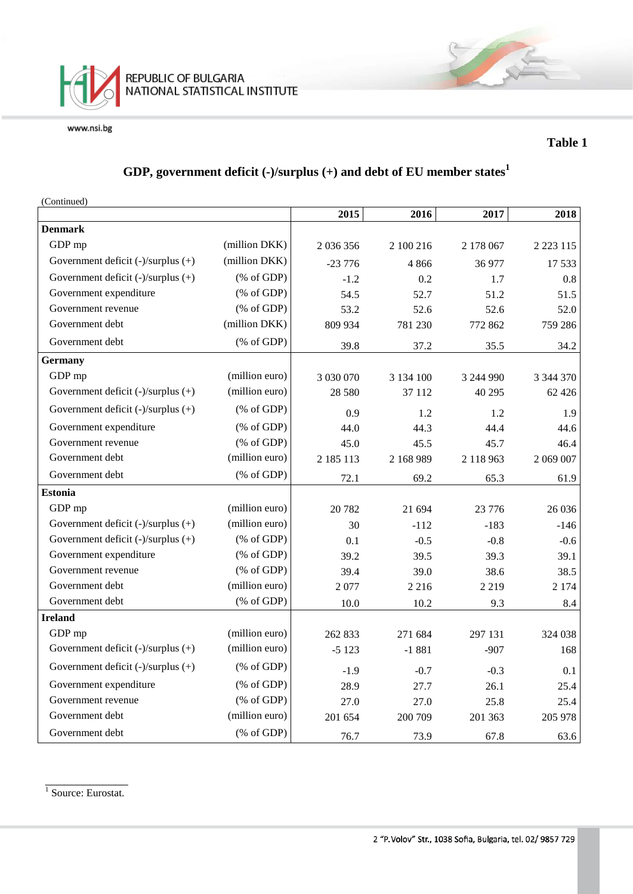

#### **Table 1**

# **GDP, government deficit (-)/surplus (+) and debt of EU member states<sup>1</sup>**

(Continued)

|                                         |                                                       | 2015          | 2016      | 2017      | 2018          |
|-----------------------------------------|-------------------------------------------------------|---------------|-----------|-----------|---------------|
| <b>Denmark</b>                          |                                                       |               |           |           |               |
| GDP mp                                  | (million DKK)                                         | 2 036 356     | 2 100 216 | 2 178 067 | 2 2 2 3 1 1 5 |
| Government deficit (-)/surplus (+)      | (million DKK)                                         | $-23776$      | 4866      | 36 977    | 17 533        |
| Government deficit (-)/surplus (+)      | $(% \mathcal{L}_{0} \cap \mathcal{L}_{1})$ (% of GDP) | $-1.2$        | 0.2       | 1.7       | 0.8           |
| Government expenditure                  | $(% \mathcal{L}_{0} \cap \mathcal{L}_{1})$ (% of GDP) | 54.5          | 52.7      | 51.2      | 51.5          |
| Government revenue                      | (% of GDP)                                            | 53.2          | 52.6      | 52.6      | 52.0          |
| Government debt                         | (million DKK)                                         | 809 934       | 781 230   | 772 862   | 759 286       |
| Government debt                         | $(% \mathcal{L}_{0} \cap \mathcal{L}_{1})$ (% of GDP) | 39.8          | 37.2      | 35.5      | 34.2          |
| <b>Germany</b>                          |                                                       |               |           |           |               |
| GDP mp                                  | (million euro)                                        | 3 0 3 0 0 7 0 | 3 134 100 | 3 244 990 | 3 344 370     |
| Government deficit (-)/surplus (+)      | (million euro)                                        | 28 5 80       | 37 112    | 40 29 5   | 62 4 2 6      |
| Government deficit (-)/surplus (+)      | $(% \mathcal{L}_{0} \cap \mathcal{L}_{1})$ (% of GDP) | 0.9           | 1.2       | 1.2       | 1.9           |
| Government expenditure                  | $(% \mathcal{L}_{0} \cap \mathcal{L}_{1})$ (% of GDP) | 44.0          | 44.3      | 44.4      | 44.6          |
| Government revenue                      | $(% \mathcal{L}_{0} \cap \mathcal{L}_{1})$ (% of GDP) | 45.0          | 45.5      | 45.7      | 46.4          |
| Government debt                         | (million euro)                                        | 2 185 113     | 2 168 989 | 2 118 963 | 2 069 007     |
| Government debt                         | $(% \mathcal{L}_{0} \cap \mathcal{L}_{1})$ (% of GDP) | 72.1          | 69.2      | 65.3      | 61.9          |
| <b>Estonia</b>                          |                                                       |               |           |           |               |
| GDP mp                                  | (million euro)                                        | 20 782        | 21 694    | 23 776    | 26 0 36       |
| Government deficit (-)/surplus (+)      | (million euro)                                        | 30            | $-112$    | $-183$    | $-146$        |
| Government deficit (-)/surplus (+)      | $(% \mathcal{L}_{0} \cap \mathcal{L}_{1})$ (% of GDP) | 0.1           | $-0.5$    | $-0.8$    | $-0.6$        |
| Government expenditure                  | (% of GDP)                                            | 39.2          | 39.5      | 39.3      | 39.1          |
| Government revenue                      | $(% \mathcal{L}_{0} \cap \mathcal{L}_{1})$ (% of GDP) | 39.4          | 39.0      | 38.6      | 38.5          |
| Government debt                         | (million euro)                                        | 2077          | 2 2 1 6   | 2 2 1 9   | 2 1 7 4       |
| Government debt                         | $(% \mathcal{L}_{0} \cap \mathcal{L}_{1})$ (% of GDP) | 10.0          | 10.2      | 9.3       | 8.4           |
| <b>Ireland</b>                          |                                                       |               |           |           |               |
| GDP mp                                  | (million euro)                                        | 262 833       | 271 684   | 297 131   | 324 038       |
| Government deficit (-)/surplus (+)      | (million euro)                                        | $-5123$       | $-1881$   | $-907$    | 168           |
| Government deficit $(-)/$ surplus $(+)$ | $(% \mathcal{L}_{0} \cap \mathcal{L}_{1})$ (% of GDP) | $-1.9$        | $-0.7$    | $-0.3$    | 0.1           |
| Government expenditure                  | $(% \mathcal{L}_{0} \cap \mathcal{L}_{1})$ (% of GDP) | 28.9          | 27.7      | 26.1      | 25.4          |
| Government revenue                      | $(% \mathcal{L}_{0} \cap \mathcal{L}_{1})$ (% of GDP) | 27.0          | 27.0      | 25.8      | 25.4          |
| Government debt                         | (million euro)                                        | 201 654       | 200 709   | 201 363   | 205 978       |
| Government debt                         | $(% \mathcal{L}_{0} \cap \mathcal{L}_{1})$ (% of GDP) | 76.7          | 73.9      | 67.8      | 63.6          |

\_\_\_\_\_\_\_\_\_\_\_\_\_ <sup>1</sup> Source: Eurostat.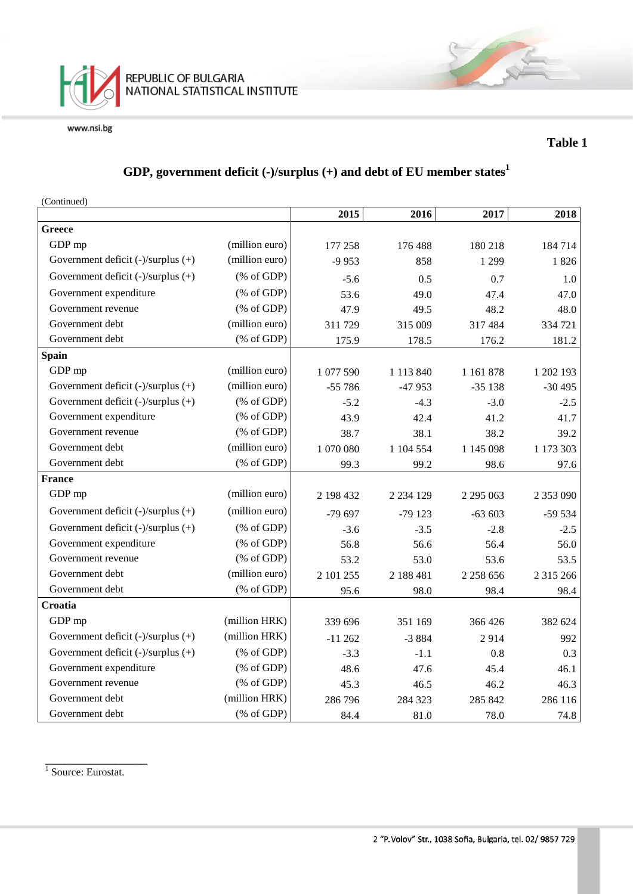

#### **Table 1**

# **GDP, government deficit (-)/surplus (+) and debt of EU member states<sup>1</sup>**

(Continued)

|                                         |                                                                 | 2015      | 2016          | 2017          | 2018      |
|-----------------------------------------|-----------------------------------------------------------------|-----------|---------------|---------------|-----------|
| <b>Greece</b>                           |                                                                 |           |               |               |           |
| GDP mp                                  | (million euro)                                                  | 177 258   | 176 488       | 180 218       | 184714    |
| Government deficit (-)/surplus (+)      | (million euro)                                                  | $-9953$   | 858           | 1 2 9 9       | 1826      |
| Government deficit (-)/surplus (+)      | $(% \mathcal{L}_{0}^{\ast }\otimes \mathcal{L}_{1})$ (% of GDP) | $-5.6$    | 0.5           | 0.7           | 1.0       |
| Government expenditure                  | $(% \mathcal{L}_{0} \cap \mathcal{L}_{1})$ (% of GDP)           | 53.6      | 49.0          | 47.4          | 47.0      |
| Government revenue                      | $(% \mathcal{L}_{0} \cap \mathcal{L}_{1})$ (% of GDP)           | 47.9      | 49.5          | 48.2          | 48.0      |
| Government debt                         | (million euro)                                                  | 311 729   | 315 009       | 317 484       | 334 721   |
| Government debt                         | (% of GDP)                                                      | 175.9     | 178.5         | 176.2         | 181.2     |
| <b>Spain</b>                            |                                                                 |           |               |               |           |
| GDP mp                                  | (million euro)                                                  | 1 077 590 | 1 1 1 3 8 4 0 | 1 1 6 1 8 7 8 | 1 202 193 |
| Government deficit (-)/surplus (+)      | (million euro)                                                  | $-55786$  | -47 953       | $-35138$      | $-30495$  |
| Government deficit (-)/surplus (+)      | $(% \mathcal{L}_{0}^{\ast }\otimes \mathcal{L}_{1})$ (% of GDP) | $-5.2$    | $-4.3$        | $-3.0$        | $-2.5$    |
| Government expenditure                  | $(% \mathcal{L}_{0} \cap \mathcal{L}_{1})$ (% of GDP)           | 43.9      | 42.4          | 41.2          | 41.7      |
| Government revenue                      | $(% \mathcal{L}_{0} \cap \mathcal{L}_{1})$ (% of GDP)           | 38.7      | 38.1          | 38.2          | 39.2      |
| Government debt                         | (million euro)                                                  | 1 070 080 | 1 104 554     | 1 145 098     | 1 173 303 |
| Government debt                         | $(% \mathcal{L}_{0} \cap \mathcal{L}_{1})$ (% of GDP)           | 99.3      | 99.2          | 98.6          | 97.6      |
| <b>France</b>                           |                                                                 |           |               |               |           |
| GDP mp                                  | (million euro)                                                  | 2 198 432 | 2 2 3 4 1 2 9 | 2 2 9 5 0 6 3 | 2 353 090 |
| Government deficit (-)/surplus (+)      | (million euro)                                                  | -79 697   | $-79123$      | $-63603$      | $-59534$  |
| Government deficit (-)/surplus (+)      | $(% \mathcal{L}_{0} \cap \mathcal{L}_{1})$ (% of GDP)           | $-3.6$    | $-3.5$        | $-2.8$        | $-2.5$    |
| Government expenditure                  | $(% \mathcal{L}_{0} \cap \mathcal{L}_{1})$ (% of GDP)           | 56.8      | 56.6          | 56.4          | 56.0      |
| Government revenue                      | $(% \mathcal{L}_{0} \cap \mathcal{L}_{1})$ (% of GDP)           | 53.2      | 53.0          | 53.6          | 53.5      |
| Government debt                         | (million euro)                                                  | 2 101 255 | 2 188 481     | 2 2 5 8 6 5 6 | 2 315 266 |
| Government debt                         | $(% \mathcal{L}_{0} \cap \mathcal{L}_{1})$ (% of GDP)           | 95.6      | 98.0          | 98.4          | 98.4      |
| Croatia                                 |                                                                 |           |               |               |           |
| GDP mp                                  | (million HRK)                                                   | 339 696   | 351 169       | 366 426       | 382 624   |
| Government deficit (-)/surplus (+)      | (million HRK)                                                   | $-11262$  | $-3884$       | 2914          | 992       |
| Government deficit $(-)/$ surplus $(+)$ | $(% \mathcal{L}_{0}^{\infty}$ (% of GDP)                        | $-3.3$    | $-1.1$        | 0.8           | 0.3       |
| Government expenditure                  | $(% \mathcal{L}_{0}^{\ast }\circ \mathcal{L}_{1})$ (% of GDP)   | 48.6      | 47.6          | 45.4          | 46.1      |
| Government revenue                      | $(% \mathcal{L}_{0} \cap \mathcal{L}_{1})$ (% of GDP)           | 45.3      | 46.5          | 46.2          | 46.3      |
| Government debt                         | (million HRK)                                                   | 286 796   | 284 323       | 285 842       | 286 116   |
| Government debt                         | $(% \mathcal{L}_{0} \cap \mathcal{L}_{1})$ (% of GDP)           | 84.4      | 81.0          | 78.0          | 74.8      |

\_\_\_\_\_\_\_\_\_\_\_\_\_\_\_\_ <sup>1</sup> Source: Eurostat.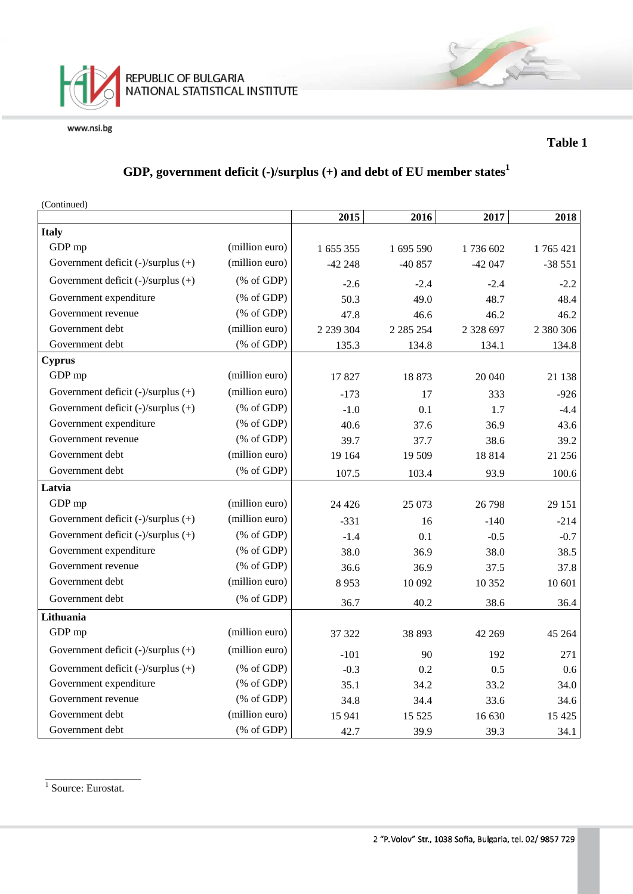

### **Table 1**

# **GDP, government deficit (-)/surplus (+) and debt of EU member states<sup>1</sup>**

| (Continued)                             |                                                       |             |               |               |           |
|-----------------------------------------|-------------------------------------------------------|-------------|---------------|---------------|-----------|
|                                         |                                                       | 2015        | 2016          | 2017          | 2018      |
| <b>Italy</b>                            |                                                       |             |               |               |           |
| GDP mp                                  | (million euro)                                        | 1 655 355   | 1 695 590     | 1736 602      | 1765421   |
| Government deficit $(-)/$ surplus $(+)$ | (million euro)                                        | $-42248$    | $-40857$      | $-42047$      | $-38551$  |
| Government deficit (-)/surplus (+)      | $(% \mathcal{L}_{0} \cap \mathcal{L}_{1})$ (% of GDP) | $-2.6$      | $-2.4$        | $-2.4$        | $-2.2$    |
| Government expenditure                  | $(% \mathcal{L}_{0} \cap \mathcal{L}_{1})$ (% of GDP) | 50.3        | 49.0          | 48.7          | 48.4      |
| Government revenue                      | (% of GDP)                                            | 47.8        | 46.6          | 46.2          | 46.2      |
| Government debt                         | (million euro)                                        | 2 2 3 3 0 4 | 2 2 8 5 2 5 4 | 2 3 2 8 6 9 7 | 2 380 306 |
| Government debt                         | $(% \mathcal{L}_{0} \cap \mathcal{L}_{1})$ (% of GDP) | 135.3       | 134.8         | 134.1         | 134.8     |
| <b>Cyprus</b>                           |                                                       |             |               |               |           |
| GDP mp                                  | (million euro)                                        | 17827       | 18873         | 20 040        | 21 138    |
| Government deficit $(-)/$ surplus $(+)$ | (million euro)                                        | $-173$      | 17            | 333           | $-926$    |
| Government deficit (-)/surplus (+)      | $(% \mathcal{L}_{0} \cap \mathcal{L}_{1})$ (% of GDP) | $-1.0$      | 0.1           | 1.7           | $-4.4$    |
| Government expenditure                  | (% of GDP)                                            | 40.6        | 37.6          | 36.9          | 43.6      |
| Government revenue                      | $(% \mathcal{L}_{0} \cap \mathcal{L}_{1})$ (% of GDP) | 39.7        | 37.7          | 38.6          | 39.2      |
| Government debt                         | (million euro)                                        | 19 164      | 19 509        | 18814         | 21 25 6   |
| Government debt                         | $(% \mathcal{L}_{0}$ (% of GDP)                       | 107.5       | 103.4         | 93.9          | 100.6     |
| Latvia                                  |                                                       |             |               |               |           |
| GDP mp                                  | (million euro)                                        | 24 4 26     | 25 073        | 26 798        | 29 15 1   |
| Government deficit $(-)/$ surplus $(+)$ | (million euro)                                        | $-331$      | 16            | $-140$        | $-214$    |
| Government deficit (-)/surplus (+)      | $(% \mathcal{L}_{0} \cap \mathcal{L}_{1})$ (% of GDP) | $-1.4$      | 0.1           | $-0.5$        | $-0.7$    |
| Government expenditure                  | $(% \mathcal{L}_{0} \cap \mathcal{L}_{1})$ (% of GDP) | 38.0        | 36.9          | 38.0          | 38.5      |
| Government revenue                      | (% of GDP)                                            | 36.6        | 36.9          | 37.5          | 37.8      |
| Government debt                         | (million euro)                                        | 8953        | 10 092        | 10 352        | 10 601    |
| Government debt                         | $(% \mathcal{L}_{0} \cap \mathcal{L}_{1})$ (% of GDP) | 36.7        | 40.2          | 38.6          | 36.4      |
| Lithuania                               |                                                       |             |               |               |           |
| GDP mp                                  | (million euro)                                        | 37 322      | 38 893        | 42 269        | 45 264    |
| Government deficit (-)/surplus (+)      | (million euro)                                        | $-101$      | 90            | 192           | 271       |
| Government deficit (-)/surplus (+)      | $(% \mathcal{L}_{0} \cap \mathcal{L}_{1})$ (% of GDP) | $-0.3$      | 0.2           | 0.5           | 0.6       |
| Government expenditure                  | $(% \mathcal{L}_{0} \cap \mathcal{L}_{1})$ (% of GDP) | 35.1        | 34.2          | 33.2          | 34.0      |
| Government revenue                      | (% of GDP)                                            | 34.8        | 34.4          | 33.6          | 34.6      |
| Government debt                         | (million euro)                                        | 15 941      | 15 5 25       | 16 630        | 15 4 25   |
| Government debt                         | $(% \mathcal{L}_{0} \cap \mathcal{L}_{1})$ (% of GDP) | 42.7        | 39.9          | 39.3          | 34.1      |

\_\_\_\_\_\_\_\_\_\_\_\_\_\_\_ <sup>1</sup> Source: Eurostat.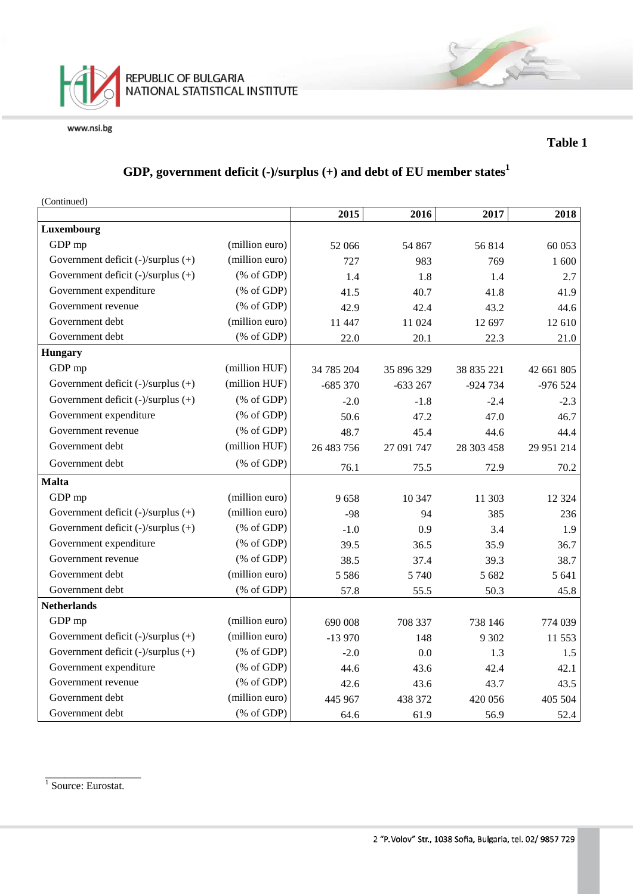

#### **Table 1**

# **GDP, government deficit (-)/surplus (+) and debt of EU member states<sup>1</sup>**

(Continued)

|                                         |                                                                | 2015       | 2016       | 2017       | 2018       |
|-----------------------------------------|----------------------------------------------------------------|------------|------------|------------|------------|
| Luxembourg                              |                                                                |            |            |            |            |
| GDP mp                                  | (million euro)                                                 | 52 066     | 54 867     | 56814      | 60 053     |
| Government deficit (-)/surplus (+)      | (million euro)                                                 | 727        | 983        | 769        | 1 600      |
| Government deficit (-)/surplus (+)      | $(% \mathcal{L}_{0} \cap \mathcal{L}_{1})$ (% of GDP)          | 1.4        | 1.8        | 1.4        | 2.7        |
| Government expenditure                  | $(% \mathcal{L}_{0} \cap \mathcal{L}_{1})$ (% of GDP)          | 41.5       | 40.7       | 41.8       | 41.9       |
| Government revenue                      | $(% \mathcal{L}_{0} \cap \mathcal{L}_{1})$ (% of GDP)          | 42.9       | 42.4       | 43.2       | 44.6       |
| Government debt                         | (million euro)                                                 | 11 447     | 11 024     | 12 697     | 12 610     |
| Government debt                         | $(% \mathcal{L}_{0} \cap \mathcal{L}_{1})$ (% of GDP)          | 22.0       | 20.1       | 22.3       | 21.0       |
| <b>Hungary</b>                          |                                                                |            |            |            |            |
| GDP mp                                  | (million HUF)                                                  | 34 785 204 | 35 896 329 | 38 835 221 | 42 661 805 |
| Government deficit (-)/surplus (+)      | (million HUF)                                                  | $-685370$  | $-633267$  | -924 734   | $-976524$  |
| Government deficit (-)/surplus (+)      | $(% \mathcal{L}_{0} \cap \mathcal{L}_{1})$ (% of GDP)          | $-2.0$     | $-1.8$     | $-2.4$     | $-2.3$     |
| Government expenditure                  | $(% \mathcal{L}_{0}^{\ast} \times \mathcal{L}_{1})$ (% of GDP) | 50.6       | 47.2       | 47.0       | 46.7       |
| Government revenue                      | $(% \mathcal{L}_{0}^{\infty}$ (% of GDP)                       | 48.7       | 45.4       | 44.6       | 44.4       |
| Government debt                         | (million HUF)                                                  | 26 483 756 | 27 091 747 | 28 303 458 | 29 951 214 |
| Government debt                         | $(% \mathcal{L}_{0} \cap \mathcal{L}_{1})$ (% of GDP)          | 76.1       | 75.5       | 72.9       | 70.2       |
| <b>Malta</b>                            |                                                                |            |            |            |            |
| GDP mp                                  | (million euro)                                                 | 9658       | 10 347     | 11 303     | 12 3 24    |
| Government deficit $(-)/$ surplus $(+)$ | (million euro)                                                 | $-98$      | 94         | 385        | 236        |
| Government deficit (-)/surplus (+)      | $(% \mathcal{L}_{0} \cap \mathcal{L}_{1})$ (% of GDP)          | $-1.0$     | 0.9        | 3.4        | 1.9        |
| Government expenditure                  | $(% \mathcal{L}_{0} \cap \mathcal{L}_{1})$ (% of GDP)          | 39.5       | 36.5       | 35.9       | 36.7       |
| Government revenue                      | $(% \mathcal{L}_{0} \cap \mathcal{L}_{1})$ (% of GDP)          | 38.5       | 37.4       | 39.3       | 38.7       |
| Government debt                         | (million euro)                                                 | 5 5 8 6    | 5 7 4 0    | 5 6 8 2    | 5 641      |
| Government debt                         | $(% \mathcal{L}_{0} \cap \mathcal{L}_{1})$ (% of GDP)          | 57.8       | 55.5       | 50.3       | 45.8       |
| <b>Netherlands</b>                      |                                                                |            |            |            |            |
| GDP mp                                  | (million euro)                                                 | 690 008    | 708 337    | 738 146    | 774 039    |
| Government deficit (-)/surplus (+)      | (million euro)                                                 | $-13970$   | 148        | 9 3 0 2    | 11 553     |
| Government deficit (-)/surplus (+)      | $(% \mathcal{L}_{0}^{\infty}$ (% of GDP)                       | $-2.0$     | 0.0        | 1.3        | 1.5        |
| Government expenditure                  | $(% \mathcal{L}_{0} \cap \mathcal{L}_{1})$ (% of GDP)          | 44.6       | 43.6       | 42.4       | 42.1       |
| Government revenue                      | $(% \mathcal{L}_{0} \cap \mathcal{L}_{1})$ (% of GDP)          | 42.6       | 43.6       | 43.7       | 43.5       |
| Government debt                         | (million euro)                                                 | 445 967    | 438 372    | 420 056    | 405 504    |
| Government debt                         | $(% \mathcal{L}_{0}$ (% of GDP)                                | 64.6       | 61.9       | 56.9       | 52.4       |

\_\_\_\_\_\_\_\_\_\_\_\_\_\_\_ <sup>1</sup> Source: Eurostat.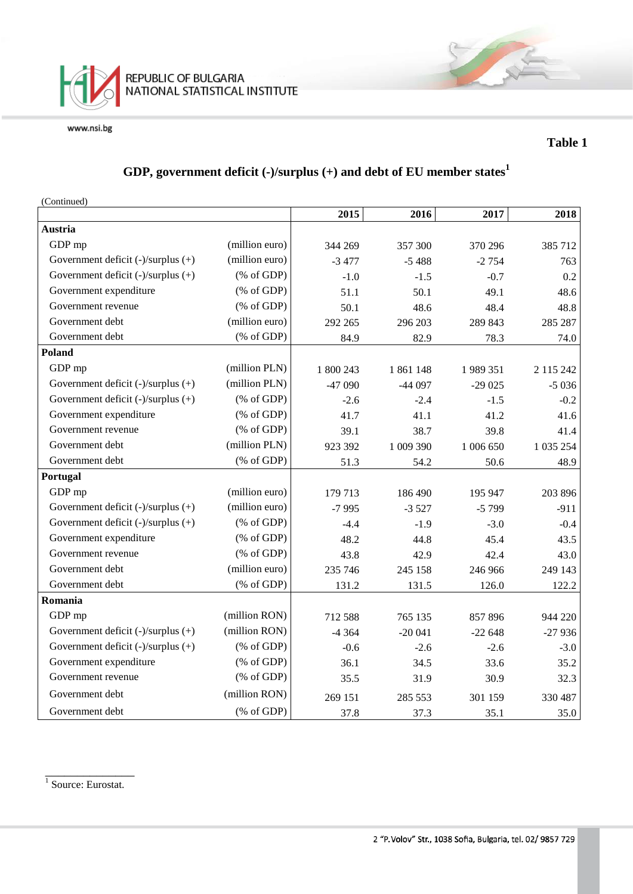

#### **Table 1**

# **GDP, government deficit (-)/surplus (+) and debt of EU member states<sup>1</sup>**

(Continued)

|                                         |                                                       | 2015      | 2016      | 2017      | 2018       |
|-----------------------------------------|-------------------------------------------------------|-----------|-----------|-----------|------------|
| Austria                                 |                                                       |           |           |           |            |
| GDP mp                                  | (million euro)                                        | 344 269   | 357 300   | 370 296   | 385 712    |
| Government deficit $(-)/$ surplus $(+)$ | (million euro)                                        | $-3477$   | $-5488$   | $-2754$   | 763        |
| Government deficit (-)/surplus (+)      | $(% \mathcal{L}_{0}^{\infty}$ (% of GDP)              | $-1.0$    | $-1.5$    | $-0.7$    | 0.2        |
| Government expenditure                  | $(% \mathcal{L}_{0} \cap \mathcal{L}_{1})$ (% of GDP) | 51.1      | 50.1      | 49.1      | 48.6       |
| Government revenue                      | $(% \mathcal{L}_{0} \cap \mathcal{L}_{1})$ (% of GDP) | 50.1      | 48.6      | 48.4      | 48.8       |
| Government debt                         | (million euro)                                        | 292 265   | 296 203   | 289 843   | 285 287    |
| Government debt                         | $(% \mathcal{L}_{0} \cap \mathcal{L}_{1})$ (% of GDP) | 84.9      | 82.9      | 78.3      | 74.0       |
| <b>Poland</b>                           |                                                       |           |           |           |            |
| GDP mp                                  | (million PLN)                                         | 1 800 243 | 1861148   | 1989351   | 2 115 242  |
| Government deficit (-)/surplus (+)      | (million PLN)                                         | -47 090   | $-44097$  | $-29025$  | $-5036$    |
| Government deficit (-)/surplus (+)      | $(% \mathcal{L}_{0} \cap \mathcal{L}_{1})$ (% of GDP) | $-2.6$    | $-2.4$    | $-1.5$    | $-0.2$     |
| Government expenditure                  | $(% \mathcal{L}_{0} \cap \mathcal{L}_{1})$ (% of GDP) | 41.7      | 41.1      | 41.2      | 41.6       |
| Government revenue                      | $(% \mathcal{L}_{0} \cap \mathcal{L}_{1})$ (% of GDP) | 39.1      | 38.7      | 39.8      | 41.4       |
| Government debt                         | (million PLN)                                         | 923 392   | 1 009 390 | 1 006 650 | 1 0 35 254 |
| Government debt                         | $(% \mathcal{L}_{0}$ (% of GDP)                       | 51.3      | 54.2      | 50.6      | 48.9       |
| Portugal                                |                                                       |           |           |           |            |
| GDP mp                                  | (million euro)                                        | 179 713   | 186 490   | 195 947   | 203 896    |
| Government deficit (-)/surplus (+)      | (million euro)                                        | $-7995$   | $-3527$   | $-5799$   | $-911$     |
| Government deficit (-)/surplus (+)      | $(% \mathcal{L}_{0} \cap \mathcal{L}_{1})$ (% of GDP) | $-4.4$    | $-1.9$    | $-3.0$    | $-0.4$     |
| Government expenditure                  | $(% \mathcal{L}_{0} \cap \mathcal{L}_{1})$ (% of GDP) | 48.2      | 44.8      | 45.4      | 43.5       |
| Government revenue                      | $(% \mathcal{L}_{0} \cap \mathcal{L}_{1})$ (% of GDP) | 43.8      | 42.9      | 42.4      | 43.0       |
| Government debt                         | (million euro)                                        | 235 746   | 245 158   | 246 966   | 249 143    |
| Government debt                         | $(% \mathcal{L}_{0} \cap \mathcal{L}_{1})$ (% of GDP) | 131.2     | 131.5     | 126.0     | 122.2      |
| Romania                                 |                                                       |           |           |           |            |
| GDP mp                                  | (million RON)                                         | 712 588   | 765 135   | 857896    | 944 220    |
| Government deficit (-)/surplus (+)      | (million RON)                                         | $-4364$   | $-20041$  | $-22648$  | $-27936$   |
| Government deficit (-)/surplus (+)      | $(% \mathcal{L}_{0} \cap \mathcal{L}_{1})$ (% of GDP) | $-0.6$    | $-2.6$    | $-2.6$    | $-3.0$     |
| Government expenditure                  | $(% \mathcal{L}_{0} \cap \mathcal{L}_{1})$ (% of GDP) | 36.1      | 34.5      | 33.6      | 35.2       |
| Government revenue                      | $(% \mathcal{L}_{0} \cap \mathcal{L}_{1})$ (% of GDP) | 35.5      | 31.9      | 30.9      | 32.3       |
| Government debt                         | (million RON)                                         | 269 151   | 285 553   | 301 159   | 330 487    |
| Government debt                         | $(% \mathcal{L}_{0} \cap \mathcal{L}_{1})$ (% of GDP) | 37.8      | 37.3      | 35.1      | 35.0       |

\_\_\_\_\_\_\_\_\_\_\_\_\_\_ <sup>1</sup> Source: Eurostat.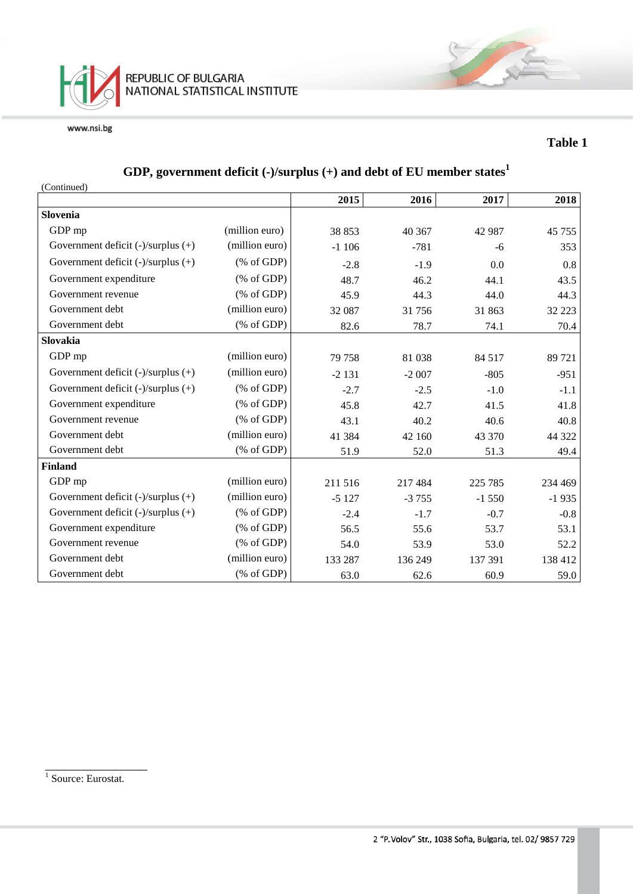

#### **Table 1**

# **GDP, government deficit (-)/surplus (+) and debt of EU member states<sup>1</sup>**

| (Continued)                             |                                                       |         |         |          |         |
|-----------------------------------------|-------------------------------------------------------|---------|---------|----------|---------|
|                                         |                                                       | 2015    | 2016    | 2017     | 2018    |
| Slovenia                                |                                                       |         |         |          |         |
| GDP mp                                  | (million euro)                                        | 38 853  | 40 367  | 42 987   | 45 755  |
| Government deficit $(-)/$ surplus $(+)$ | (million euro)                                        | $-1106$ | $-781$  | $-6$     | 353     |
| Government deficit $(-)/$ surplus $(+)$ | $(% \mathcal{L}_{0} \cap \mathcal{L}_{1})$ (% of GDP) | $-2.8$  | $-1.9$  | 0.0      | 0.8     |
| Government expenditure                  | $(% \mathcal{L}_{0} \cap \mathcal{L}_{1})$ (% of GDP) | 48.7    | 46.2    | 44.1     | 43.5    |
| Government revenue                      | $(% \mathcal{L}_{0} \cap \mathcal{L}_{1})$ (% of GDP) | 45.9    | 44.3    | 44.0     | 44.3    |
| Government debt                         | (million euro)                                        | 32 087  | 31756   | 31 863   | 32 223  |
| Government debt                         | $(% \mathcal{L}_{0} \cap \mathcal{L}_{1})$ (% of GDP) | 82.6    | 78.7    | 74.1     | 70.4    |
| <b>Slovakia</b>                         |                                                       |         |         |          |         |
| GDP mp                                  | (million euro)                                        | 79 758  | 81 038  | 84 5 17  | 89 721  |
| Government deficit $(-)/$ surplus $(+)$ | (million euro)                                        | $-2131$ | $-2007$ | $-805$   | $-951$  |
| Government deficit $(-)/$ surplus $(+)$ | $(% \mathcal{L}_{0}^{\infty}$ (% of GDP)              | $-2.7$  | $-2.5$  | $-1.0$   | $-1.1$  |
| Government expenditure                  | $(% \mathcal{L}_{0} \cap \mathcal{L}_{1})$ (% of GDP) | 45.8    | 42.7    | 41.5     | 41.8    |
| Government revenue                      | $(% \mathcal{L}_{0} \cap \mathcal{L}_{1})$ (% of GDP) | 43.1    | 40.2    | 40.6     | 40.8    |
| Government debt                         | (million euro)                                        | 41 384  | 42 160  | 43 370   | 44 322  |
| Government debt                         | $(% \mathcal{L}_{0} \cap \mathcal{L}_{1})$ (% of GDP) | 51.9    | 52.0    | 51.3     | 49.4    |
| <b>Finland</b>                          |                                                       |         |         |          |         |
| GDP mp                                  | (million euro)                                        | 211 516 | 217 484 | 225 785  | 234 469 |
| Government deficit $(-)/$ surplus $(+)$ | (million euro)                                        | $-5127$ | $-3755$ | $-1,550$ | $-1935$ |
| Government deficit (-)/surplus (+)      | $(% \mathcal{L}_{0} \cap \mathcal{L}_{1})$ (% of GDP) | $-2.4$  | $-1.7$  | $-0.7$   | $-0.8$  |
| Government expenditure                  | $(% \mathcal{L}_{0}^{\infty}$ (% of GDP)              | 56.5    | 55.6    | 53.7     | 53.1    |
| Government revenue                      | $(% \mathcal{L}_{0} \cap \mathcal{L}_{1})$ (% of GDP) | 54.0    | 53.9    | 53.0     | 52.2    |
| Government debt                         | (million euro)                                        | 133 287 | 136 249 | 137 391  | 138 412 |
| Government debt                         | $(% \mathcal{L}_{0} \cap \mathcal{L}_{1})$ (% of GDP) | 63.0    | 62.6    | 60.9     | 59.0    |

<sup>1</sup> Source: Eurostat.

\_\_\_\_\_\_\_\_\_\_\_\_\_\_\_\_